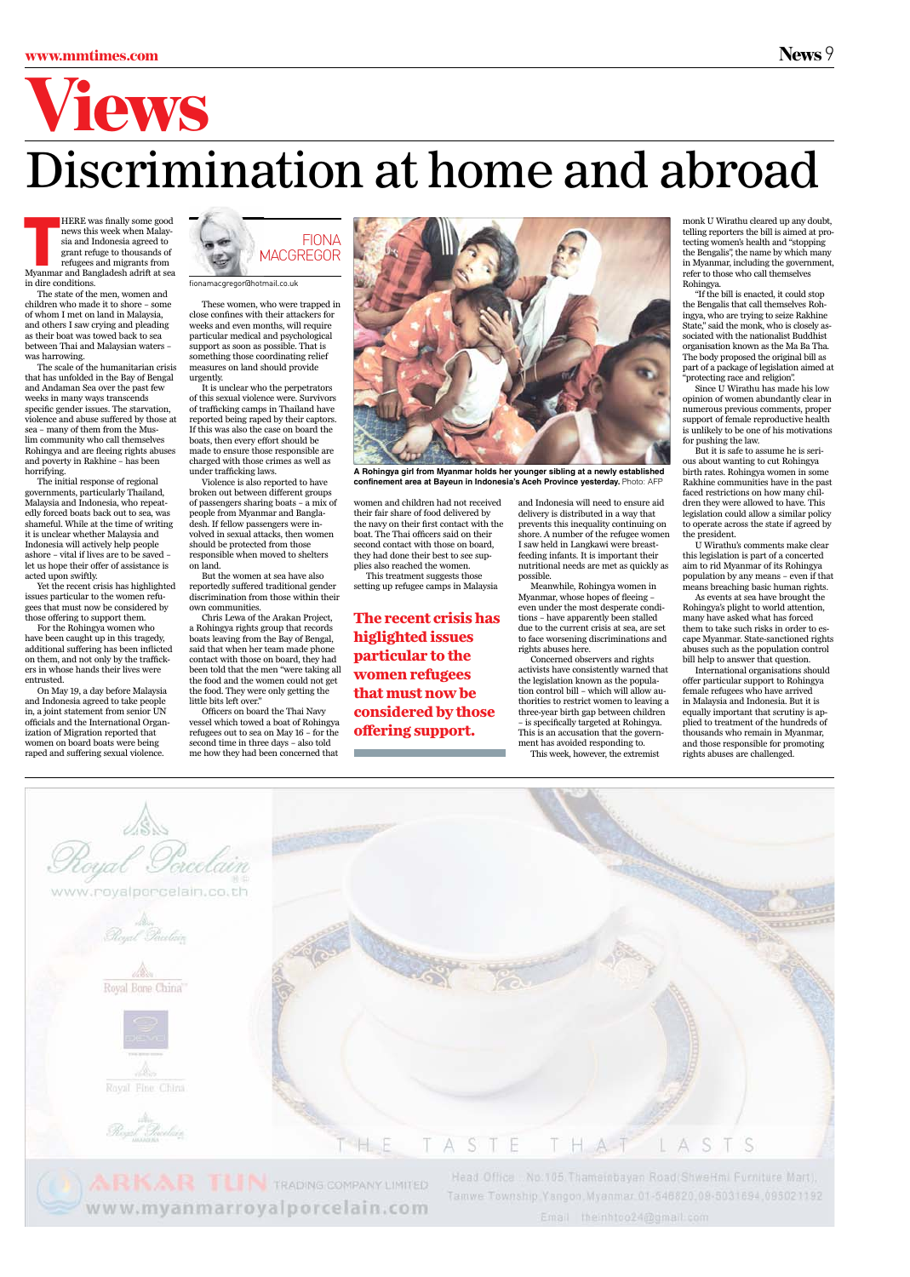### www.mmtimes.com News 9

# Views

## Discrimination at home and abroad

HERE was finally some good<br>news this week when Malay-<br>sia and Indonesia agreed to<br>grant refuge to thousands of<br>refugees and migrants from<br>Myanmar and Bangladesh adrift at sea HERE was finally some good news this week when Malaysia and Indonesia agreed to grant refuge to thousands of refugees and migrants from in dire conditions.

The state of the men, women and children who made it to shore – some of whom I met on land in Malaysia, and others I saw crying and pleading as their boat was towed back to sea between Thai and Malaysian waters – was harrowing.

The scale of the humanitarian crisis that has unfolded in the Bay of Bengal and Andaman Sea over the past few weeks in many ways transcends specific gender issues. The starvation, violence and abuse suffered by those at sea – many of them from the Muslim community who call themselves Rohingya and are fleeing rights abuses and poverty in Rakhine – has been horrifying.

The initial response of regional governments, particularly Thailand, Malaysia and Indonesia, who repeatedly forced boats back out to sea, was shameful. While at the time of writing it is unclear whether Malaysia and Indonesia will actively help people ashore – vital if lives are to be saved – let us hope their offer of assistance is acted upon swiftly.

Yet the recent crisis has highlighted issues particular to the women refugees that must now be considered by those offering to support them.

For the Rohingya women who have been caught up in this tragedy, additional suffering has been inflicted on them, and not only by the traffickers in whose hands their lives were entrusted.

On May 19, a day before Malaysia and Indonesia agreed to take people in, a joint statement from senior UN officials and the International Organization of Migration reported that women on board boats were being raped and suffering sexual violence.

These women, who were trapped in close confines with their attackers for weeks and even months, will require particular medical and psychological support as soon as possible. That is something those coordinating relief measures on land should provide urgently.

It is unclear who the perpetrators of this sexual violence were. Survivors of trafficking camps in Thailand have reported being raped by their captors. If this was also the case on board the boats, then every effort should be made to ensure those responsible are charged with those crimes as well as under trafficking laws.

Violence is also reported to have broken out between different groups of passengers sharing boats – a mix of people from Myanmar and Bangladesh. If fellow passengers were involved in sexual attacks, then women should be protected from those responsible when moved to shelters on land.

But the women at sea have also reportedly suffered traditional gender discrimination from those within their own communities.

Chris Lewa of the Arakan Project, a Rohingya rights group that records boats leaving from the Bay of Bengal, said that when her team made phone contact with those on board, they had been told that the men "were taking all the food and the women could not get the food. They were only getting the little bits left over."

Officers on board the Thai Navy vessel which towed a boat of Rohingya refugees out to sea on May 16 – for the second time in three days – also told me how they had been concerned that women and children had not received their fair share of food delivered by the navy on their first contact with the boat. The Thai officers said on their second contact with those on board, they had done their best to see supplies also reached the women.

This treatment suggests those setting up refugee camps in Malaysia

and Indonesia will need to ensure aid delivery is distributed in a way that prevents this inequality continuing on shore. A number of the refugee women I saw held in Langkawi were breastfeeding infants. It is important their nutritional needs are met as quickly as possible.

Meanwhile, Rohingya women in Myanmar, whose hopes of fleeing – even under the most desperate conditions – have apparently been stalled due to the current crisis at sea, are set to face worsening discriminations and rights abuses here.

Concerned observers and rights activists have consistently warned that the legislation known as the population control bill – which will allow authorities to restrict women to leaving a three-year birth gap between children – is specifically targeted at Rohingya. This is an accusation that the government has avoided responding to.

This week, however, the extremist

monk U Wirathu cleared up any doubt, telling reporters the bill is aimed at protecting women's health and "stopping the Bengalis", the name by which many in Myanmar, including the government, refer to those who call themselves Rohingya.

"If the bill is enacted, it could stop the Bengalis that call themselves Rohingya, who are trying to seize Rakhine State," said the monk, who is closely associated with the nationalist Buddhist organisation known as the Ma Ba Tha. The body proposed the original bill as part of a package of legislation aimed at "protecting race and religion".

Since U Wirathu has made his low opinion of women abundantly clear in numerous previous comments, proper support of female reproductive health is unlikely to be one of his motivations for pushing the law.

But it is safe to assume he is serious about wanting to cut Rohingya birth rates. Rohingya women in some Rakhine communities have in the past faced restrictions on how many children they were allowed to have. This legislation could allow a similar policy to operate across the state if agreed by the president.

U Wirathu's comments make clear this legislation is part of a concerted aim to rid Myanmar of its Rohingya population by any means – even if that means breaching basic human rights.

As events at sea have brought the Rohingya's plight to world attention, many have asked what has forced them to take such risks in order to escape Myanmar. State-sanctioned rights abuses such as the population control bill help to answer that question.

International organisations should offer particular support to Rohingya female refugees who have arrived in Malaysia and Indonesia. But it is equally important that scrutiny is applied to treatment of the hundreds of thousands who remain in Myanmar, and those responsible for promoting rights abuses are challenged.





**A Rohingya girl from Myanmar holds her younger sibling at a newly established confinement area at Bayeun in Indonesia's Aceh Province yesterday.** Photo: AFP



fionamacgregor@hotmail.co.uk

**The recent crisis has higlighted issues particular to the women refugees that must now be considered by those offering support.**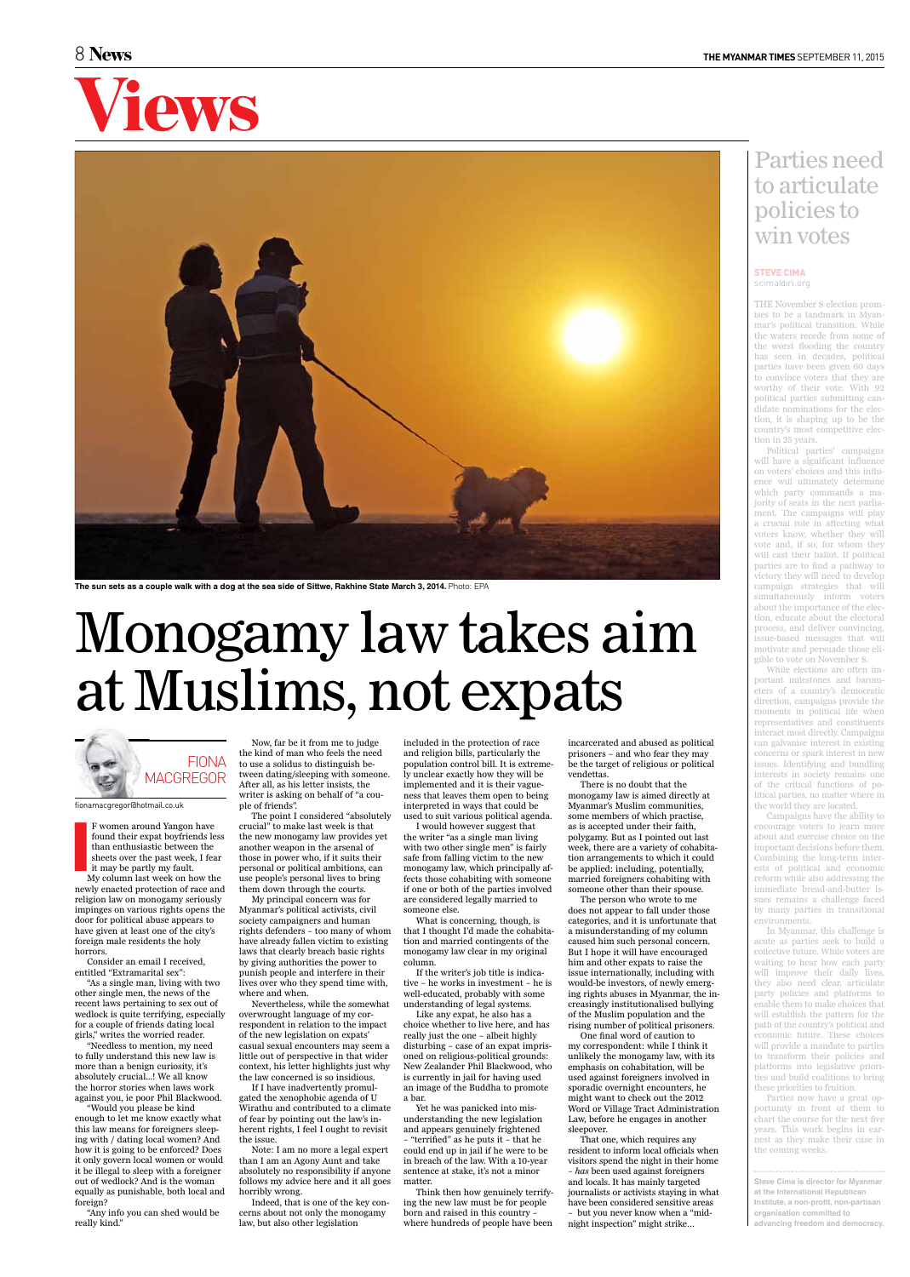### Monogamy law takes aim at Muslims, not expats

I F women around Yangon have found their expat boyfriends less than enthusiastic between the sheets over the past week, I fear it may be partly my fault.

My column last week on how the newly enacted protection of race and religion law on monogamy seriously impinges on various rights opens the door for political abuse appears to have given at least one of the city's foreign male residents the holy horrors.

Consider an email I received, entitled "Extramarital sex": "As a single man, living with two

other single men, the news of the recent laws pertaining to sex out of wedlock is quite terrifying, especially for a couple of friends dating local girls," writes the worried reader.

"Needless to mention, my need to fully understand this new law is more than a benign curiosity, it's absolutely crucial...! We all know the horror stories when laws work against you, ie poor Phil Blackwood.

"Would you please be kind enough to let me know exactly what this law means for foreigners sleeping with / dating local women? And how it is going to be enforced? Does it only govern local women or would it be illegal to sleep with a foreigner out of wedlock? And is the woman equally as punishable, both local and foreign?

"Any info you can shed would be really kind."

Now, far be it from me to judge

the kind of man who feels the need to use a solidus to distinguish between dating/sleeping with someone. After all, as his letter insists, the writer is asking on behalf of "a couple of friends".

The point I considered "absolutely crucial" to make last week is that the new monogamy law provides yet another weapon in the arsenal of those in power who, if it suits their personal or political ambitions, can use people's personal lives to bring them down through the courts.

My principal concern was for Myanmar's political activists, civil society campaigners and human rights defenders – too many of whom have already fallen victim to existing laws that clearly breach basic rights by giving authorities the power to punish people and interfere in their lives over who they spend time with,

where and when.

Nevertheless, while the somewhat overwrought language of my correspondent in relation to the impact of the new legislation on expats' casual sexual encounters may seem a little out of perspective in that wider context, his letter highlights just why the law concerned is so insidious.

If I have inadvertently promulgated the xenophobic agenda of U Wirathu and contributed to a climate of fear by pointing out the law's inherent rights, I feel I ought to revisit the issue.

Note: I am no more a legal expert than I am an Agony Aunt and take absolutely no responsibility if anyone follows my advice here and it all goes horribly wrong.

Indeed, that is one of the key concerns about not only the monogamy law, but also other legislation

included in the protection of race and religion bills, particularly the population control bill. It is extremely unclear exactly how they will be implemented and it is their vagueness that leaves them open to being interpreted in ways that could be used to suit various political agenda.

I would however suggest that the writer "as a single man living with two other single men" is fairly safe from falling victim to the new monogamy law, which principally affects those cohabiting with someone if one or both of the parties involved are considered legally married to someone else.

What is concerning, though, is that I thought I'd made the cohabitation and married contingents of the monogamy law clear in my original column.

If the writer's job title is indicative – he works in investment – he is

well-educated, probably with some understanding of legal systems. Like any expat, he also has a choice whether to live here, and has really just the one – albeit highly disturbing – case of an expat imprisoned on religious-political grounds: New Zealander Phil Blackwood, who is currently in jail for having used an image of the Buddha to promote a bar.

Yet he was panicked into misunderstanding the new legislation and appears genuinely frightened – "terrified" as he puts it – that he could end up in jail if he were to be in breach of the law. With a 10-year sentence at stake, it's not a minor matter.

Think then how genuinely terrifying the new law must be for people born and raised in this country – where hundreds of people have been

incarcerated and abused as political prisoners – and who fear they may be the target of religious or political vendettas.

There is no doubt that the monogamy law is aimed directly at Myanmar's Muslim communities, some members of which practise, as is accepted under their faith, polygamy. But as I pointed out last week, there are a variety of cohabitation arrangements to which it could be applied: including, potentially, married foreigners cohabiting with someone other than their spouse.

The person who wrote to me does not appear to fall under those categories, and it is unfortunate that a misunderstanding of my column caused him such personal concern. But I hope it will have encouraged him and other expats to raise the issue internationally, including with would-be investors, of newly emerg-

ing rights abuses in Myanmar, the increasingly institutionalised bullying of the Muslim population and the rising number of political prisoners.

One final word of caution to my correspondent: while I think it unlikely the monogamy law, with its emphasis on cohabitation, will be used against foreigners involved in sporadic overnight encounters, he might want to check out the 2012 Word or Village Tract Administration Law, before he engages in another sleepover.

That one, which requires any resident to inform local officials when visitors spend the night in their home – *has* been used against foreigners and locals. It has mainly targeted journalists or activists staying in what have been considered sensitive areas – but you never know when a "midnight inspection" might strike…

### Parties need to articulate policies to win votes

#### **STEVE CIMA**





fionamacgregor@hotmail.co.uk

THE November 8 election promises to be a landmark in Myanmar's political transition. While the waters recede from some of the worst flooding the country has seen in decades, political parties have been given 60 days to convince voters that they are worthy of their vote. With 92 political parties submitting candidate nominations for the election, it is shaping up to be the country's most competitive election in 25 years.

Political parties' campaigns will have a significant influence on voters' choices and this influence will ultimately determine which party commands a majority of seats in the next parliament. The campaigns will play a crucial role in affecting what voters know, whether they will vote and, if so, for whom they will cast their ballot. If political parties are to find a pathway to victory they will need to develop campaign strategies that will simultaneously inform voters about the importance of the election, educate about the electoral process, and deliver convincing, issue-based messages that will motivate and persuade those eligible to vote on November 8.

While elections are often important milestones and barometers of a country's democratic direction, campaigns provide the moments in political life when representatives and constituents interact most directly. Campaigns can galvanise interest in existing concerns or spark interest in new issues. Identifying and bundling interests in society remains one of the critical functions of political parties, no matter where in the world they are located.

Campaigns have the ability to encourage voters to learn more about and exercise choice on the important decisions before them. Combining the long-term interests of political and economic reform while also addressing the immediate bread-and-butter issues remains a challenge faced by many parties in transitional environments.

In Myanmar, this challenge is acute as parties seek to build a collective future. While voters are waiting to hear how each party will improve their daily lives, they also need clear, articulate party policies and platforms to enable them to make choices that will establish the pattern for the path of the country's political and economic future. These choices will provide a mandate to parties to transform their policies and platforms into legislative priorities and build coalitions to bring these priorities to fruition. Parties now have a great opportunity in front of them to chart the course for the next five years. This work begins in earnest as they make their case in the coming weeks.

**Steve Cima is director for Myanmar at the International Republican Institute, a non-profit, non-partisan organisation committed to advancing freedom and democracy.**



**The sun sets as a couple walk with a dog at the sea side of Sittwe, Rakhine State March 3, 2014.** Photo: EPA

scima@iri.org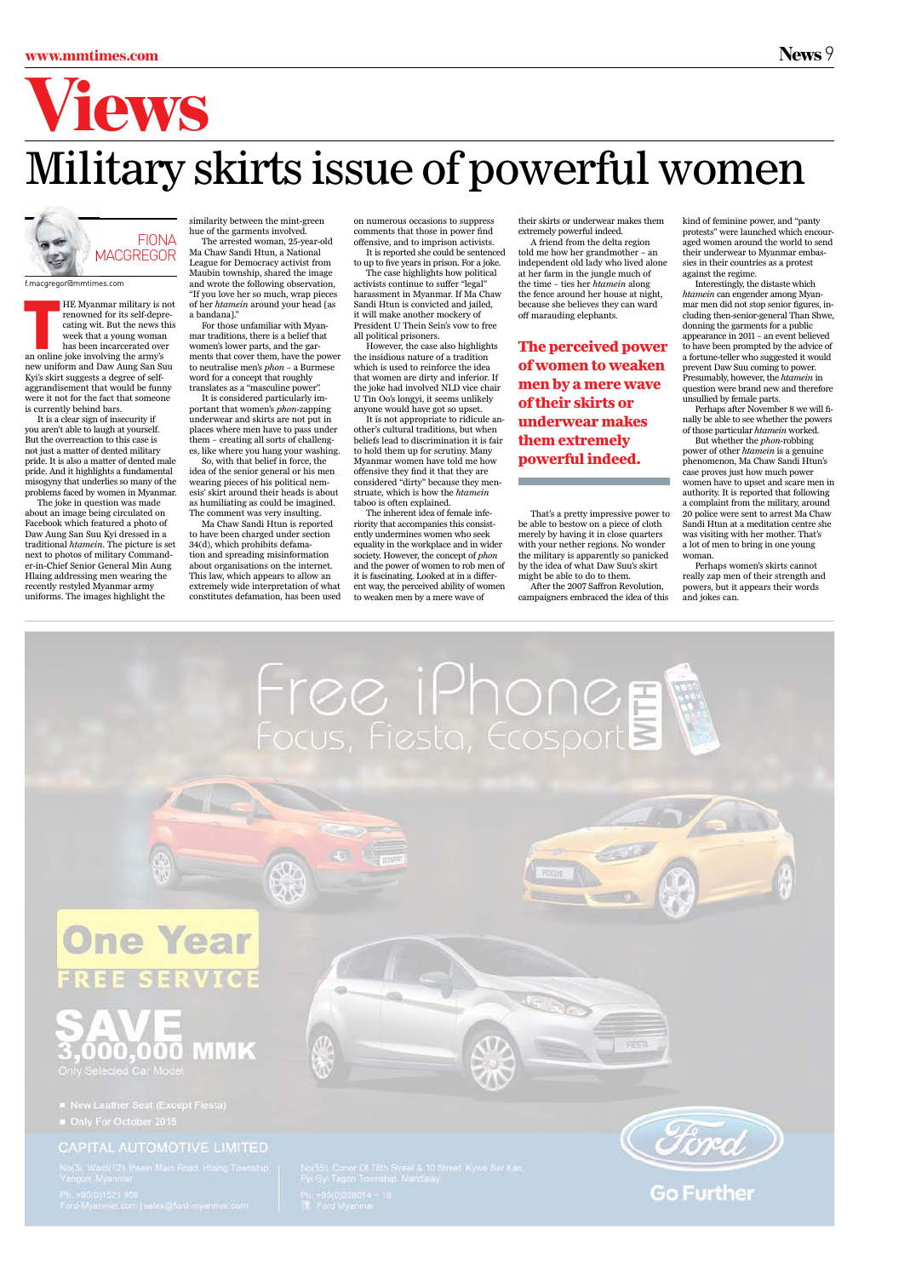### www.mmtimes.com News 9



### Military skirts issue of powerful women

HE Myanmar military is n renowned for its self-depreating wit. But the news the week that a young woman has been incarcerated ove an online joke involving the army's HE Myanmar military is not renowned for its self-deprecating wit. But the news this week that a young woman has been incarcerated over new uniform and Daw Aung San Suu Kyi's skirt suggests a degree of selfaggrandisement that would be funny were it not for the fact that someone

is currently behind bars. It is a clear sign of insecurity if you aren't able to laugh at yourself. But the overreaction to this case is not just a matter of dented military pride. It is also a matter of dented male pride. And it highlights a fundamental misogyny that underlies so many of the problems faced by women in Myanmar.

The joke in question was made about an image being circulated on Facebook which featured a photo of Daw Aung San Suu Kyi dressed in a traditional *htamein*. The picture is set next to photos of military Commander-in-Chief Senior General Min Aung Hlaing addressing men wearing the recently restyled Myanmar army uniforms. The images highlight the

similarity between the mint-green hue of the garments involved. The arrested woman, 25-year-old

Ma Chaw Sandi Htun, a National League for Democracy activist from Maubin township, shared the image and wrote the following observation, "If you love her so much, wrap pieces of her *htamein* around your head [as a bandana]."

For those unfamiliar with Myanmar traditions, there is a belief that women's lower parts, and the garments that cover them, have the power to neutralise men's *phon* – a Burmese word for a concept that roughly translates as a "masculine power".

It is considered particularly important that women's *phon*-zapping underwear and skirts are not put in places where men have to pass under them – creating all sorts of challenges, like where you hang your washing.

So, with that belief in force, the idea of the senior general or his men wearing pieces of his political nemesis' skirt around their heads is about as humiliating as could be imagined. The comment was very insulting.

Ma Chaw Sandi Htun is reported to have been charged under section 34(d), which prohibits defamation and spreading misinformation about organisations on the internet. This law, which appears to allow an extremely wide interpretation of what constitutes defamation, has been used on numerous occasions to suppress comments that those in power find offensive, and to imprison activists. It is reported she could be sentenced

to up to five years in prison. For a joke. The case highlights how political

activists continue to suffer "legal" harassment in Myanmar. If Ma Chaw Sandi Htun is convicted and jailed, it will make another mockery of President U Thein Sein's vow to free all political prisoners.

However, the case also highlights the insidious nature of a tradition which is used to reinforce the idea that women are dirty and inferior. If the joke had involved NLD vice chair U Tin Oo's longyi, it seems unlikely anyone would have got so upset.

It is not appropriate to ridicule another's cultural traditions, but when beliefs lead to discrimination it is fair to hold them up for scrutiny. Many Myanmar women have told me how offensive they find it that they are considered "dirty" because they menstruate, which is how the *htamein* taboo is often explained.

The inherent idea of female inferiority that accompanies this consistently undermines women who seek equality in the workplace and in wider society. However, the concept of *phon* and the power of women to rob men of it is fascinating. Looked at in a different way, the perceived ability of women to weaken men by a mere wave of

their skirts or underwear makes them extremely powerful indeed.

A friend from the delta region told me how her grandmother – an independent old lady who lived alone at her farm in the jungle much of the time – ties her *htamein* along the fence around her house at night, because she believes they can ward off marauding elephants.

That's a pretty impressive power to be able to bestow on a piece of cloth merely by having it in close quarters with your nether regions. No wonder the military is apparently so panicked by the idea of what Daw Suu's skirt might be able to do to them.

After the 2007 Saffron Revolution, campaigners embraced the idea of this kind of feminine power, and "panty protests" were launched which encouraged women around the world to send their underwear to Myanmar embassies in their countries as a protest against the regime.

Interestingly, the distaste which *htamein* can engender among Myanmar men did not stop senior figures, including then-senior-general Than Shwe, donning the garments for a public appearance in 2011 – an event believed to have been prompted by the advice of a fortune-teller who suggested it would prevent Daw Suu coming to power. Presumably, however, the *htamein* in question were brand new and therefore unsullied by female parts.

Perhaps after November 8 we will finally be able to see whether the powers of those particular *htamein* worked.

But whether the *phon-*robbing power of other *htamein* is a genuine phenomenon, Ma Chaw Sandi Htun's case proves just how much power women have to upset and scare men in authority. It is reported that following a complaint from the military, around 20 police were sent to arrest Ma Chaw Sandi Htun at a meditation centre she was visiting with her mother. That's a lot of men to bring in one young woman.

Perhaps women's skirts cannot really zap men of their strength and powers, but it appears their words and jokes can.



#### **MMK**  $(0)$  $(11010)$  $\mathbb{I}(\mathbb{I})$ Only Selected Car Model

New Leather Seat (Except Flesta)

#### CAPITAL AUTOMOTIVE LIMITED



**FIESTA** 



f.macgregor@mmtimes.com

**The perceived power of women to weaken men by a mere wave of their skirts or underwear makes them extremely powerful indeed.**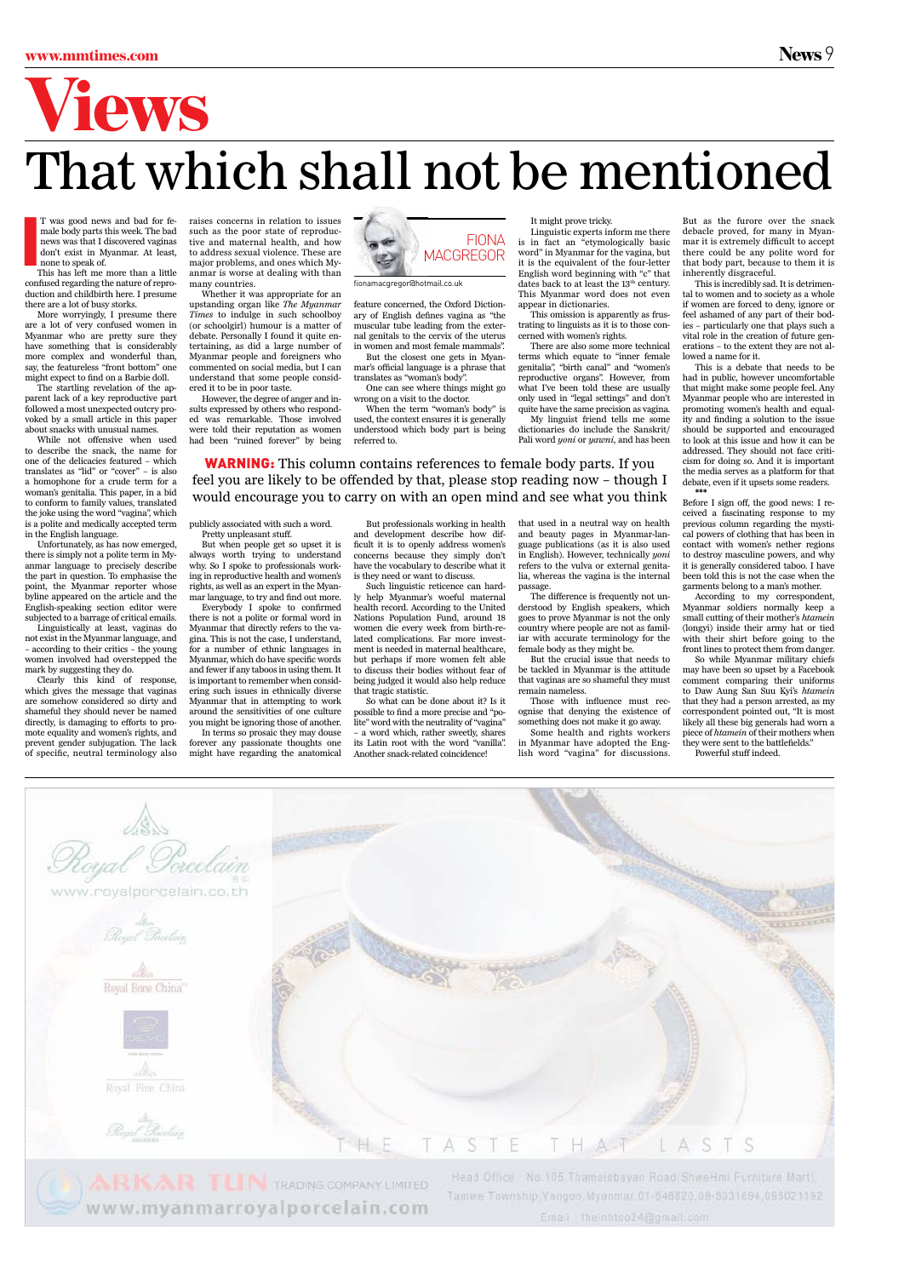# Views

### That which shall not be mentioned

I T was good news and bad for female body parts this week. The bad news was that I discovered vaginas don't exist in Myanmar. At least, none to speak of.

This has left me more than a little confused regarding the nature of reproduction and childbirth here. I presume there are a lot of busy storks.

More worryingly, I presume there are a lot of very confused women in Myanmar who are pretty sure they have something that is considerably more complex and wonderful than, say, the featureless "front bottom" one might expect to find on a Barbie doll.

The startling revelation of the apparent lack of a key reproductive part followed a most unexpected outcry provoked by a small article in this paper about snacks with unusual names.

While not offensive when used to describe the snack, the name for one of the delicacies featured – which translates as "lid" or "cover" – is also a homophone for a crude term for a woman's genitalia. This paper, in a bid to conform to family values, translated the joke using the word "vagina", which is a polite and medically accepted term in the English language.

Unfortunately, as has now emerged, there is simply not a polite term in Myanmar language to precisely describe the part in question. To emphasise the point, the Myanmar reporter whose byline appeared on the article and the English-speaking section editor were subjected to a barrage of critical emails.

Linguistically at least, vaginas do not exist in the Myanmar language, and – according to their critics – the young women involved had overstepped the mark by suggesting they do.

Clearly this kind of response, which gives the message that vaginas are somehow considered so dirty and shameful they should never be named directly, is damaging to efforts to promote equality and women's rights, and prevent gender subjugation. The lack of specific, neutral terminology also raises concerns in relation to issues such as the poor state of reproductive and maternal health, and how to address sexual violence. These are major problems, and ones which Myanmar is worse at dealing with than many countries.

Whether it was appropriate for an upstanding organ like *The Myanmar Times* to indulge in such schoolboy (or schoolgirl) humour is a matter of debate. Personally I found it quite entertaining, as did a large number of Myanmar people and foreigners who commented on social media, but I can understand that some people considered it to be in poor taste.

However, the degree of anger and insults expressed by others who responded was remarkable. Those involved were told their reputation as women had been "ruined forever" by being

publicly associated with such a word. Pretty unpleasant stuff.

But when people get so upset it is always worth trying to understand why. So I spoke to professionals working in reproductive health and women's rights, as well as an expert in the Myanmar language, to try and find out more.

Everybody I spoke to confirmed there is not a polite or formal word in Myanmar that directly refers to the vagina. This is not the case, I understand, for a number of ethnic languages in Myanmar, which do have specific words and fewer if any taboos in using them. It is important to remember when considering such issues in ethnically diverse Myanmar that in attempting to work around the sensitivities of one culture you might be ignoring those of another.

In terms so prosaic they may douse forever any passionate thoughts one might have regarding the anatomical feature concerned, the Oxford Dictionary of English defines vagina as "the muscular tube leading from the external genitals to the cervix of the uterus in women and most female mammals".

But the closest one gets in Myanmar's official language is a phrase that translates as "woman's body".

One can see where things might go wrong on a visit to the doctor.

When the term "woman's body" is used, the context ensures it is generally understood which body part is being referred to.

But professionals working in health and development describe how difficult it is to openly address women's concerns because they simply don't have the vocabulary to describe what it is they need or want to discuss.

Such linguistic reticence can hardly help Myanmar's woeful maternal health record. According to the United Nations Population Fund, around 18 women die every week from birth-related complications. Far more investment is needed in maternal healthcare, but perhaps if more women felt able to discuss their bodies without fear of being judged it would also help reduce that tragic statistic.

So what can be done about it? Is it possible to find a more precise and "polite" word with the neutrality of "vagina" – a word which, rather sweetly, shares its Latin root with the word "vanilla". Another snack-related coincidence!

It might prove tricky.

Linguistic experts inform me there is in fact an "etymologically basic word" in Myanmar for the vagina, but it is the equivalent of the four-letter English word beginning with "c" that dates back to at least the 13<sup>th</sup> century. This Myanmar word does not even appear in dictionaries.

This omission is apparently as frustrating to linguists as it is to those concerned with women's rights.

There are also some more technical terms which equate to "inner female genitalia", "birth canal" and "women's reproductive organs". However, from what I've been told these are usually only used in "legal settings" and don't quite have the same precision as vagina. My linguist friend tells me some

dictionaries do include the Sanskrit/ Pali word *yoni* or *yawni*, and has been

that used in a neutral way on health and beauty pages in Myanmar-language publications (as it is also used in English). However, technically *yoni* refers to the vulva or external genitalia, whereas the vagina is the internal passage.

The difference is frequently not understood by English speakers, which goes to prove Myanmar is not the only country where people are not as familiar with accurate terminology for the female body as they might be.

But the crucial issue that needs to be tackled in Myanmar is the attitude that vaginas are so shameful they must remain nameless.

Those with influence must recognise that denying the existence of something does not make it go away.

Some health and rights workers in Myanmar have adopted the English word "vagina" for discussions.

But as the furore over the snack debacle proved, for many in Myanmar it is extremely difficult to accept there could be any polite word for that body part, because to them it is inherently disgraceful.

This is incredibly sad. It is detrimental to women and to society as a whole if women are forced to deny, ignore or feel ashamed of any part of their bodies – particularly one that plays such a vital role in the creation of future generations – to the extent they are not allowed a name for it.

This is a debate that needs to be had in public, however uncomfortable that might make some people feel. Any Myanmar people who are interested in promoting women's health and equality and finding a solution to the issue should be supported and encouraged to look at this issue and how it can be addressed. They should not face criticism for doing so. And it is important the media serves as a platform for that debate, even if it upsets some readers. **\*\*\***

Before I sign off, the good news: I received a fascinating response to my previous column regarding the mystical powers of clothing that has been in contact with women's nether regions to destroy masculine powers, and why it is generally considered taboo. I have been told this is not the case when the garments belong to a man's mother.

According to my correspondent, Myanmar soldiers normally keep a small cutting of their mother's *htamein* (longyi) inside their army hat or tied with their shirt before going to the front lines to protect them from danger.

So while Myanmar military chiefs may have been so upset by a Facebook comment comparing their uniforms to Daw Aung San Suu Kyi's *htamein* that they had a person arrested, as my correspondent pointed out, "It is most likely all these big generals had worn a piece of *htamein* of their mothers when they were sent to the battlefields."

Powerful stuff indeed.



WARNING: This column contains references to female body parts. If you feel you are likely to be offended by that, please stop reading now – though I would encourage you to carry on with an open mind and see what you think



fionamacgregor@hotmail.co.uk